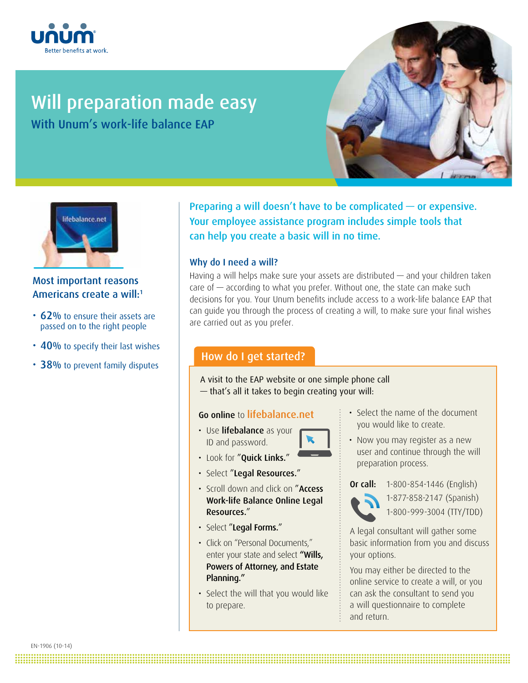

# Will preparation made easy

With Unum's work-life balance EAP





# Most important reasons Americans create a will: 1

- 62% to ensure their assets are passed on to the right people
- 40% to specify their last wishes
- 38% to prevent family disputes

Preparing a will doesn't have to be complicated — or expensive. Your employee assistance program includes simple tools that can help you create a basic will in no time.

## Why do I need a will?

Having a will helps make sure your assets are distributed — and your children taken care of  $-$  according to what you prefer. Without one, the state can make such decisions for you. Your Unum benefits include access to a work-life balance EAP that can guide you through the process of creating a will, to make sure your final wishes are carried out as you prefer.

# How do I get started?

A visit to the EAP website or one simple phone call — that's all it takes to begin creating your will:

## Go online to lifebalance.net

- Use lifebalance as your ID and password.
- 
- Look for "Quick Links."
- Select "Legal Resources."
- Scroll down and click on "Access Work-life Balance Online Legal Resources."
- Select "Legal Forms."
- Click on "Personal Documents," enter your state and select "Wills, Powers of Attorney, and Estate Planning."
- Select the will that you would like to prepare.

**.......................................................................................................................................................................................... ..........................................................................................................................................................................................**

- Select the name of the document you would like to create.
- Now you may register as a new user and continue through the will preparation process.



Or call: 1-800-854-1446 (English) 1-877-858-2147 (Spanish) 1-800-999-3004 (TTY/TDD)

A legal consultant will gather some basic information from you and discuss your options.

You may either be directed to the online service to create a will, or you can ask the consultant to send you a will questionnaire to complete and return.